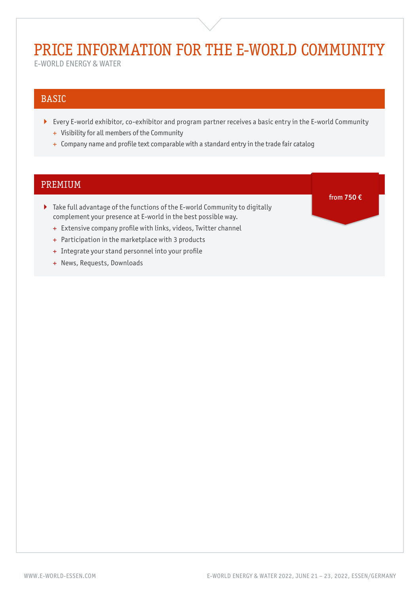# PRICE INFORMATION FOR THE E-WORLD COMMUNITY

E-WORLD ENERGY & WATER

# BASIC

- Every E-world exhibitor, co-exhibitor and program partner receives a basic entry in the E-world Community
	- + Visibility for all members of the Community
	- + Company name and profile text comparable with a standard entry in the trade fair catalog

# PREMIUM

- Take full advantage of the functions of the E-world Community to digitally complement your presence at E-world in the best possible way.
	- + Extensive company profile with links, videos, Twitter channel
	- + Participation in the marketplace with 3 products
	- + Integrate your stand personnel into your profile
	- + News, Requests, Downloads

from **750 €**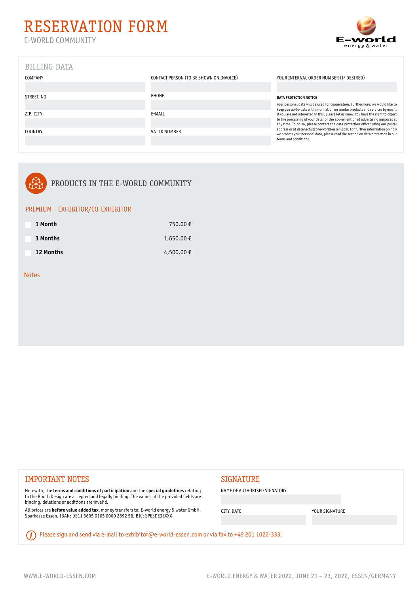

# BILLING DATA

| COMPANY        | CONTACT PERSON (TO BE SHOWN ON INVOICE) | YOUR INTERNAL ORDER NUMBER (IF DESIRED)                                                                                                                           |
|----------------|-----------------------------------------|-------------------------------------------------------------------------------------------------------------------------------------------------------------------|
|                |                                         |                                                                                                                                                                   |
| STREET, NO     | PHONE                                   | DATA PROTECTION NOTICE                                                                                                                                            |
|                |                                         | Your personal data will be used for cooperation. Furthermore, we would like to<br>keep you up-to-date with information on similar products and services by email. |
| ZIP, CITY      | E-MAIL                                  | If you are not interested in this, please let us know. You have the right to object                                                                               |
|                |                                         | to the processing of your data for the abovementioned advertising purposes at<br>any time. To do so, please contact the data protection officer using our postal  |
| <b>COUNTRY</b> | VAT ID NUMBER                           | address or at datenschutz@e-world-essen.com. For further information on how<br>we process your personal data, please read the section on data protection in our   |
|                |                                         | terms and conditions.                                                                                                                                             |



## PRODUCTS IN THE E-WORLD COMMUNITY

### PREMIUM – EXHIBITOR/CO-EXHIBITOR

| 1 Month   | 750.00€   |
|-----------|-----------|
| 3 Months  | 1,650.00€ |
| 12 Months | 4,500.00€ |

### Notes

# IMPORTANT NOTES SIGNATURE

Herewith, the **terms and conditions of participation** and the **special guidelines** relating to the Booth Design are accepted and legally binding. The values of the provided fields are binding, deletions or additions are invalid.

All prices are **before value added tax**, money transfers to: E-world energy & water GmbH, Sparkasse Essen, IBAN: DE11 3605 0105 0000 2692 58, BIC: SPESDE3EXXX

NAME OF AUTHORISED SIGNATORY

CITY, DATE YOUR SIGNATURE

(i) Please sign and send via e-mail to exhibitor@e-world-essen.com or via fax to +49 201 1022-333.